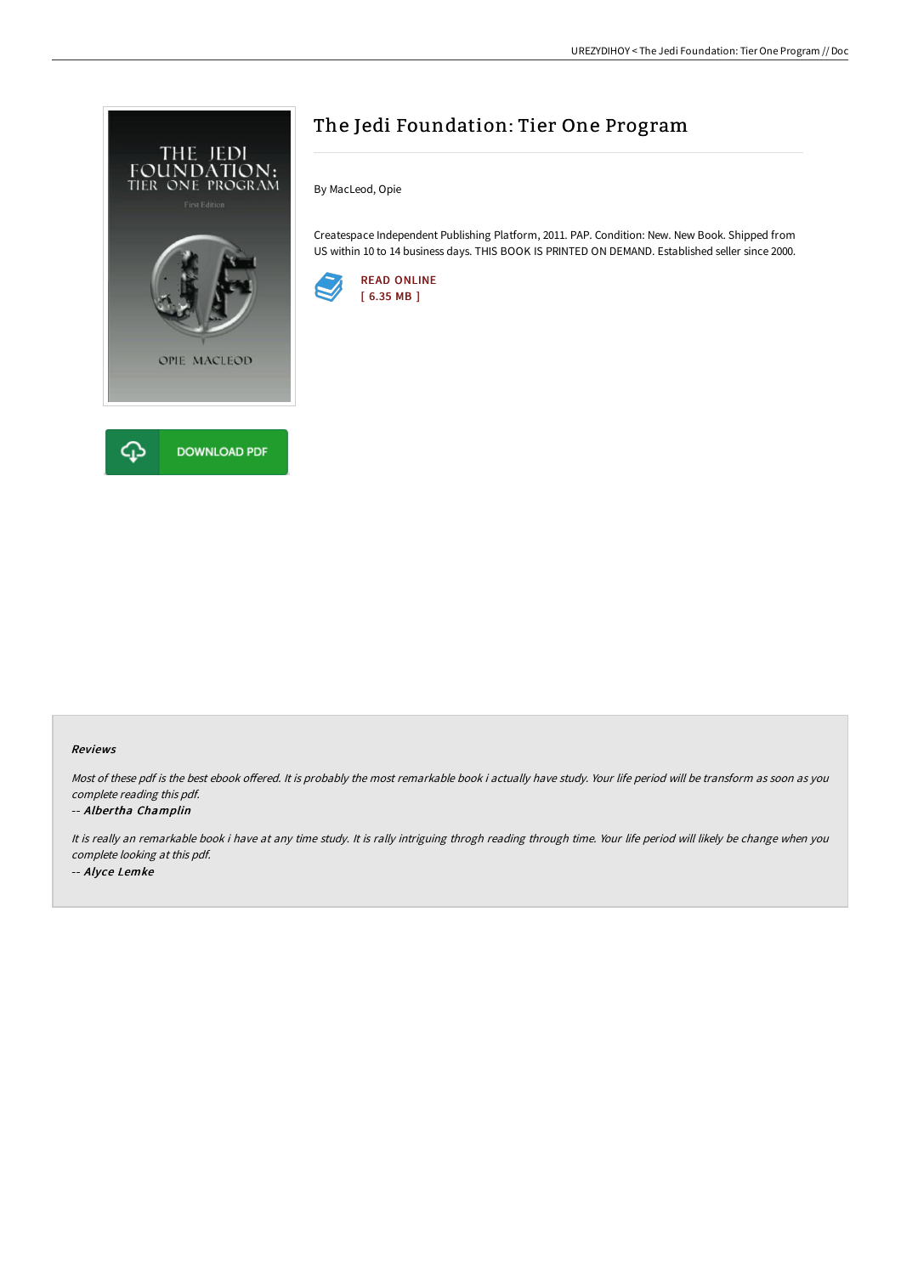

# The Jedi Foundation: Tier One Program

By MacLeod, Opie

Createspace Independent Publishing Platform, 2011. PAP. Condition: New. New Book. Shipped from US within 10 to 14 business days. THIS BOOK IS PRINTED ON DEMAND. Established seller since 2000.



### Reviews

Most of these pdf is the best ebook offered. It is probably the most remarkable book i actually have study. Your life period will be transform as soon as you complete reading this pdf.

### -- Albertha Champlin

It is really an remarkable book i have at any time study. It is rally intriguing throgh reading through time. Your life period will likely be change when you complete looking at this pdf. -- Alyce Lemke